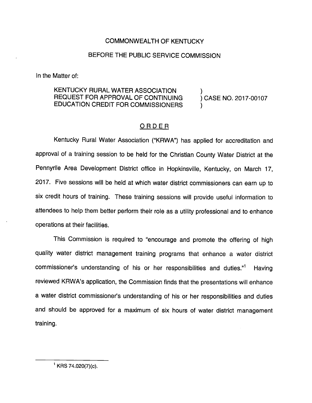## COMMONWEALTH OF KENTUCKY

## BEFORE THE PUBLIC SERVICE COMMISSION

In the Matter of:

## KENTUCKY RURAL WATER ASSOCIATION REQUEST FOR APPROVAL OF CONTINUING ) CASE NO. 2017-00107 EDUCATION CREDIT FOR COMMISSIONERS )

## ORDER

Kentucky Rural Water Association ("KRWA") has applied for accreditation and approval of a training session to be held for the Christian County Water District at the Pennyrile Area Development District office in Hopkinsville, Kentucky, on March 17, 2017. Five sessions will be held at which water district commissioners can earn up to six credit hours of training. These training sessions will provide useful information to attendees to help them better perform their role as a utility professional and to enhance operations at their facilities.

This Commission is required to "encourage and promote the offering of high quality water district management training programs that enhance a water district commissioner's understanding of his or her responsibilities and duties."<sup>1</sup> Having reviewed KRWA's application, the Commission finds that the presentations will enhance a water district commissioner's understanding of his or her responsibilities and duties and should be approved for a maximum of six hours of water district management training.

 $^1$  KRS 74.020(7)(c).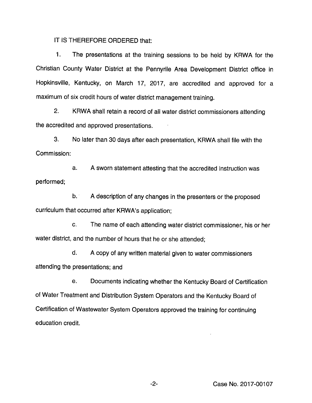IT IS THEREFORE ORDERED that:

1. The presentations at the training sessions to be held by KRWA for the Christian County Water District at the Pennyriie Area Development District office in Hopkinsville, Kentucky, on March 17, 2017, are accredited and approved for a maximum of six credit hours of water district management training.

2. KRWA shall retain a record of ail water district commissioners attending the accredited and approved presentations.

3. No later than 30 days after each presentation, KRWA shall file with the Commission:

a. A sworn statement attesting that the accredited instruction was performed;

b. A description of any changes in the presenters or the proposed curriculum that occurred after KRWA's application;

c. The name of each attending water district commissioner, his or her water district, and the number of hours that he or she attended;

d. A copy of any written material given to water commissioners attending the presentations; and

e. Documents indicating whether the Kentucky Board of Certification of Water Treatment and Distribution System Operators and the Kentucky Board of Certification of Wastewater System Operators approved the training for continuing education credit.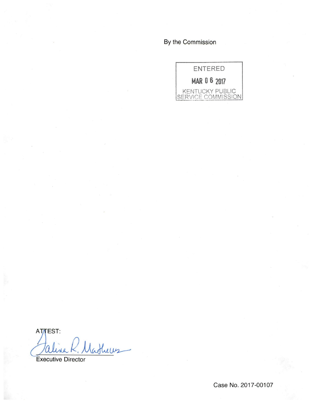By the Commission



ATTEST: lathers

**Executive Director** 

Case No. 2017-00107